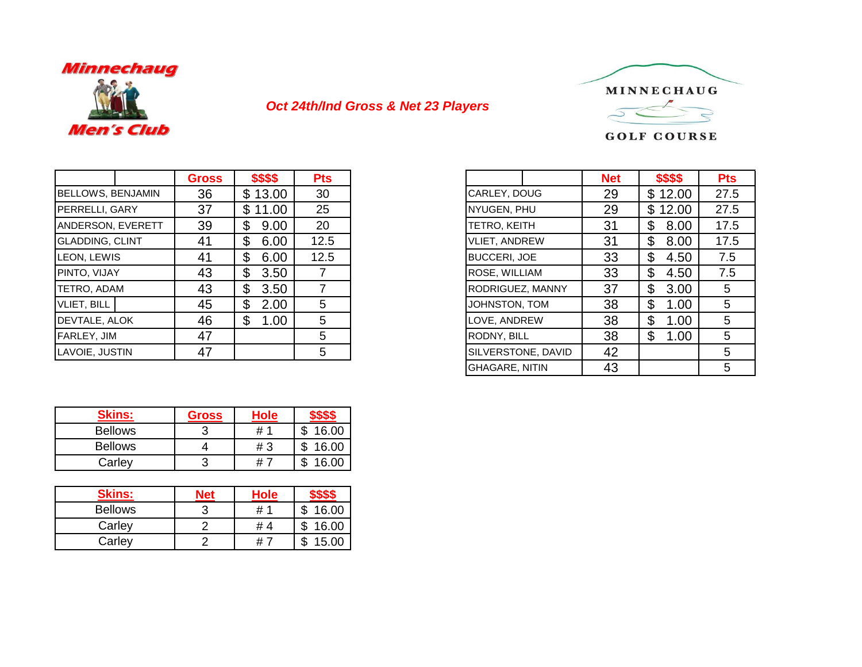

## *Oct 24th/Ind Gross & Net 23 Players*



## **GOLF COURSE**

|                          |  | <b>Gross</b> | \$\$\$\$   | <b>Pts</b> |
|--------------------------|--|--------------|------------|------------|
| <b>BELLOWS, BENJAMIN</b> |  | 36           | \$13.00    | 30         |
| PERRELLI, GARY           |  | 37           | \$11.00    | 25         |
| ANDERSON, EVERETT        |  | 39           | 9.00<br>\$ | 20         |
| <b>GLADDING, CLINT</b>   |  | 41           | \$<br>6.00 | 12.5       |
| LEON, LEWIS              |  | 41           | \$<br>6.00 | 12.5       |
| PINTO, VIJAY             |  | 43           | \$<br>3.50 |            |
| TETRO, ADAM              |  | 43           | 3.50<br>\$ |            |
| <b>VLIET, BILL</b>       |  | 45           | \$<br>2.00 | 5.         |
| DEVTALE. ALOK            |  | 46           | \$<br>1.00 | 5          |
| <b>FARLEY, JIM</b>       |  | 47           |            | 5          |
| LAVOIE, JUSTIN           |  | 47           |            | 5          |

| <b>Gross</b> | \$\$\$\$    | <b>Pts</b> |                       | <b>Net</b> | \$\$\$\$               |      |
|--------------|-------------|------------|-----------------------|------------|------------------------|------|
| 36           | \$13.00     | 30         | CARLEY, DOUG          | 29         | \$12.00                | 27.5 |
| 37           | \$<br>11.00 | 25         | NYUGEN, PHU           | 29         | \$12.00                | 27.5 |
| 39           | \$<br>9.00  | 20         | TETRO, KEITH          | 31         | \$<br>8.00             |      |
| 41           | \$<br>6.00  | 12.5       | <b>VLIET, ANDREW</b>  | 31         | \$<br>8.00             |      |
| 41           | \$<br>6.00  | 12.5       | <b>BUCCERI, JOE</b>   | 33         | \$<br>4.50             |      |
| 43           | \$<br>3.50  |            | ROSE, WILLIAM         | 33         | $\mathfrak{L}$<br>4.50 |      |
| 43           | \$<br>3.50  | 7          | RODRIGUEZ, MANNY      | 37         | \$<br>3.00             |      |
| 45           | \$<br>2.00  | 5          | JOHNSTON, TOM         | 38         | \$<br>1.00             |      |
| 46           | \$<br>1.00  | 5          | LOVE, ANDREW          | 38         | \$<br>1.00             |      |
| 47           |             | 5          | RODNY, BILL           | 38         | \$<br>1.00             |      |
| 47           |             | 5          | SILVERSTONE, DAVID    | 42         |                        |      |
|              |             |            | <b>GHAGARE, NITIN</b> | 43         |                        |      |

| <b>Skins:</b>  | <b>Gross</b> | <b>Hole</b> |             |
|----------------|--------------|-------------|-------------|
| <b>Bellows</b> |              | #           | 16.00       |
| <b>Bellows</b> |              | # 3         | 16.00<br>ъĐ |
| Carley         |              | <b>#</b>    | 16.00       |

| <b>Skins:</b>  | Net | <b>Hole</b> |       |
|----------------|-----|-------------|-------|
| <b>Bellows</b> |     | #           | 16.00 |
| Carley         |     | # 4         | 16.00 |
| Carley         |     | #           | 15.00 |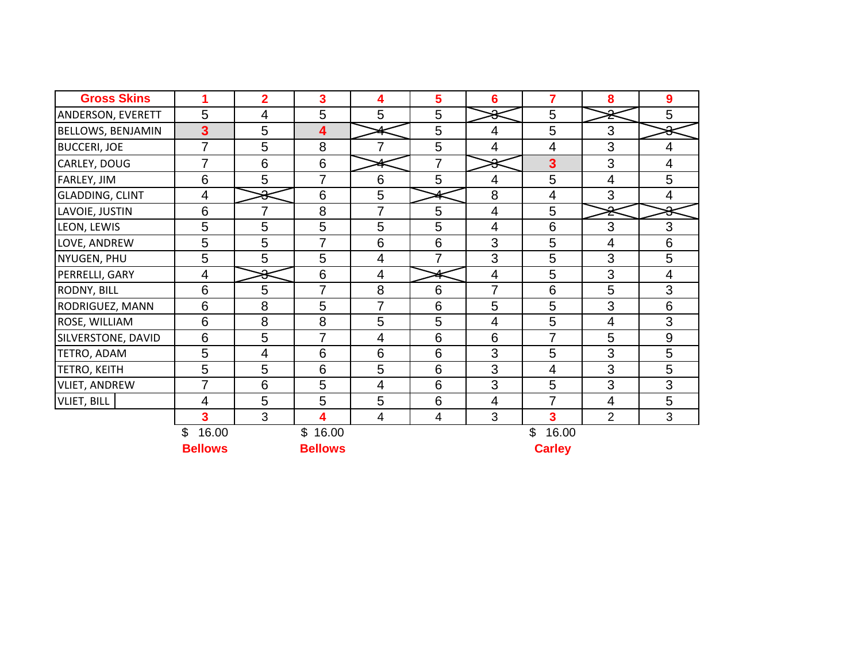| <b>Gross Skins</b>       |                         | $\overline{\mathbf{2}}$ | 3                    | 4                        | 5              | 6              | $\overline{7}$          | 8                        | 9                        |
|--------------------------|-------------------------|-------------------------|----------------------|--------------------------|----------------|----------------|-------------------------|--------------------------|--------------------------|
| ANDERSON, EVERETT        | 5                       | 4                       | 5                    | 5                        | 5              | $\ast$         | 5                       | ຂັ                       | 5                        |
| <b>BELLOWS, BENJAMIN</b> | $\overline{\mathbf{3}}$ | 5                       | 4                    |                          | 5              | $\overline{4}$ | 5                       | 3                        | Ω                        |
| <b>BUCCERI, JOE</b>      | 7                       | 5                       | 8                    | 7                        | 5              | 4              | $\overline{4}$          | 3                        | $\overline{\mathcal{A}}$ |
| CARLEY, DOUG             | $\overline{7}$          | 6                       | $6\phantom{1}6$      |                          | $\overline{7}$ | $\Omega$       | $\overline{\mathbf{3}}$ | 3                        | 4                        |
| FARLEY, JIM              | 6                       | 5                       | $\overline{7}$       | 6                        | 5              | $\overline{4}$ | 5                       | $\overline{4}$           | 5                        |
| <b>GLADDING, CLINT</b>   | 4                       | ◠<br>₩                  | $6\phantom{1}6$      | 5                        |                | 8              | $\overline{4}$          | 3                        | 4                        |
| LAVOIE, JUSTIN           | 6                       | $\overline{7}$          | 8                    | 7                        | 5              | $\overline{4}$ | 5                       | ₹                        | $\bar{\mathbf{r}}$       |
| LEON, LEWIS              | 5                       | 5                       | 5                    | 5                        | 5              | $\overline{4}$ | 6                       | 3                        | 3                        |
| LOVE, ANDREW             | 5                       | 5                       | 7                    | 6                        | 6              | 3              | 5                       | $\overline{\mathcal{A}}$ | 6                        |
| NYUGEN, PHU              | 5                       | 5                       | 5                    | $\overline{4}$           | 7              | 3              | 5                       | 3                        | 5                        |
| PERRELLI, GARY           | 4                       | ୫                       | $6\phantom{1}6$      | $\overline{4}$           |                | $\overline{4}$ | 5                       | 3                        | 4                        |
| RODNY, BILL              | 6                       | 5                       | $\overline{7}$       | 8                        | 6              | $\overline{7}$ | 6                       | 5                        | 3                        |
| RODRIGUEZ, MANN          | 6                       | 8                       | 5                    | 7                        | 6              | 5              | 5                       | 3                        | 6                        |
| ROSE, WILLIAM            | 6                       | 8                       | 8                    | 5                        | 5              | $\overline{4}$ | 5                       | 4                        | 3                        |
| SILVERSTONE, DAVID       | 6                       | 5                       | $\overline{7}$       | $\overline{4}$           | 6              | 6              | $\overline{7}$          | 5                        | 9                        |
| TETRO, ADAM              | 5                       | 4                       | 6                    | 6                        | 6              | 3              | 5                       | 3                        | 5                        |
| TETRO, KEITH             | 5                       | 5                       | 6                    | 5                        | 6              | 3              | $\overline{4}$          | 3                        | 5                        |
| VLIET, ANDREW            | $\overline{7}$          | 6                       | 5                    | $\overline{4}$           | 6              | 3              | 5                       | 3                        | 3                        |
| <b>VLIET, BILL</b>       | 4                       | 5                       | 5                    | 5                        | 6              | $\overline{4}$ | 7                       | 4                        | 5                        |
|                          | 3                       | 3                       | 4                    | $\overline{\mathcal{A}}$ | $\overline{4}$ | 3              | 3                       | $\overline{2}$           | 3                        |
|                          | 16.00<br>\$             |                         | $\mathbb S$<br>16.00 |                          |                |                | 16.00<br>\$             |                          |                          |
|                          | <b>Bellows</b>          |                         | <b>Bellows</b>       |                          |                |                | <b>Carley</b>           |                          |                          |